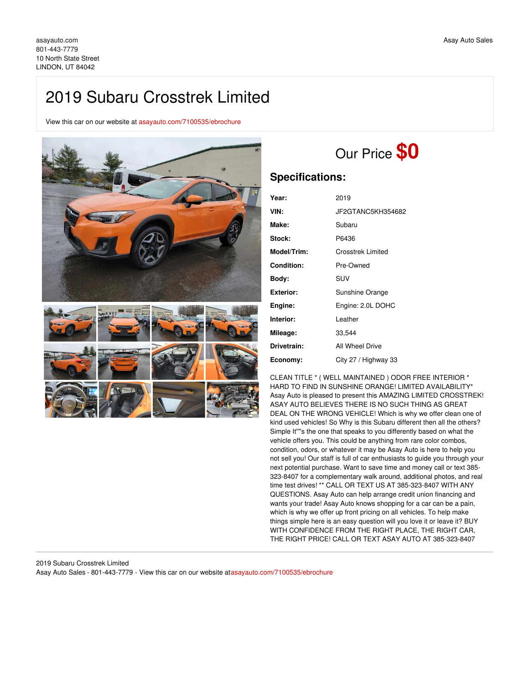## 2019 Subaru Crosstrek Limited

View this car on our website at [asayauto.com/7100535/ebrochure](https://asayauto.com/vehicle/7100535/2019-subaru-crosstrek-limited-lindon-ut-84042/7100535/ebrochure)



# Our Price **\$0**

## **Specifications:**

| Year:       | 2019                     |
|-------------|--------------------------|
| VIN:        | JF2GTANC5KH354682        |
| Make:       | Subaru                   |
| Stock:      | P6436                    |
| Model/Trim: | <b>Crosstrek Limited</b> |
| Condition:  | Pre-Owned                |
| Body:       | SUV                      |
| Exterior:   | Sunshine Orange          |
| Engine:     | Engine: 2.0L DOHC        |
| Interior:   | Leather                  |
| Mileage:    | 33,544                   |
| Drivetrain: | All Wheel Drive          |
| Economy:    | City 27 / Highway 33     |

CLEAN TITLE \* ( WELL MAINTAINED ) ODOR FREE INTERIOR \* HARD TO FIND IN SUNSHINE ORANGE! LIMITED AVAILABILITY\* Asay Auto is pleased to present this AMAZING LIMITED CROSSTREK! ASAY AUTO BELIEVES THERE IS NO SUCH THING AS GREAT DEAL ON THE WRONG VEHICLE! Which is why we offer clean one of kind used vehicles! So Why is this Subaru different then all the others? Simple It''''s the one that speaks to you differently based on what the vehicle offers you. This could be anything from rare color combos, condition, odors, or whatever it may be Asay Auto is here to help you not sell you! Our staff is full of car enthusiasts to guide you through your next potential purchase. Want to save time and money call or text 385- 323-8407 for a complementary walk around, additional photos, and real time test drives! \*\* CALL OR TEXT US AT 385-323-8407 WITH ANY QUESTIONS. Asay Auto can help arrange credit union financing and wants your trade! Asay Auto knows shopping for a car can be a pain, which is why we offer up front pricing on all vehicles. To help make things simple here is an easy question will you love it or leave it? BUY WITH CONFIDENCE FROM THE RIGHT PLACE, THE RIGHT CAR, THE RIGHT PRICE! CALL OR TEXT ASAY AUTO AT 385-323-8407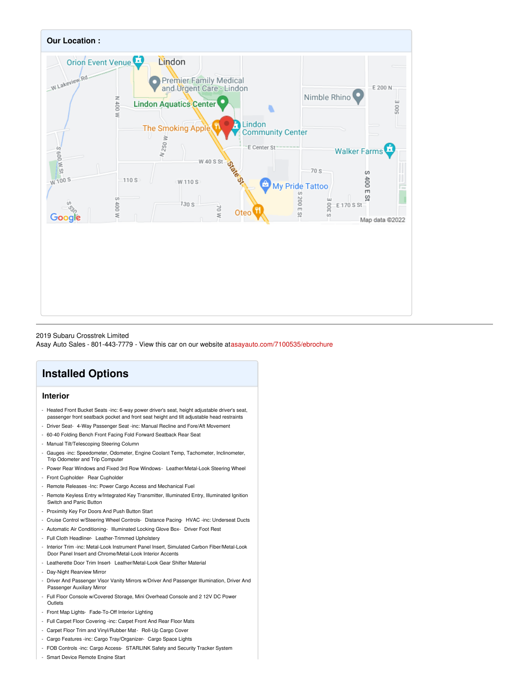

#### 2019 Subaru Crosstrek Limited

Asay Auto Sales - 801-443-7779 - View this car on our website at[asayauto.com/7100535/ebrochure](https://asayauto.com/vehicle/7100535/2019-subaru-crosstrek-limited-lindon-ut-84042/7100535/ebrochure)

## **Installed Options**

## **Interior**

- Heated Front Bucket Seats -inc: 6-way power driver's seat, height adjustable driver's seat, passenger front seatback pocket and front seat height and tilt adjustable head restraints
- Driver Seat- 4-Way Passenger Seat -inc: Manual Recline and Fore/Aft Movement
- 60-40 Folding Bench Front Facing Fold Forward Seatback Rear Seat
- Manual Tilt/Telescoping Steering Column
- Gauges -inc: Speedometer, Odometer, Engine Coolant Temp, Tachometer, Inclinometer, Trip Odometer and Trip Computer
- Power Rear Windows and Fixed 3rd Row Windows- Leather/Metal-Look Steering Wheel
- Front Cupholder- Rear Cupholder
- Remote Releases -Inc: Power Cargo Access and Mechanical Fuel
- Remote Keyless Entry w/Integrated Key Transmitter, Illuminated Entry, Illuminated Ignition Switch and Panic Button
- Proximity Key For Doors And Push Button Start
- Cruise Control w/Steering Wheel Controls- Distance Pacing- HVAC -inc: Underseat Ducts
- Automatic Air Conditioning- Illuminated Locking Glove Box- Driver Foot Rest
- Full Cloth Headliner- Leather-Trimmed Upholstery
- Interior Trim -inc: Metal-Look Instrument Panel Insert, Simulated Carbon Fiber/Metal-Look Door Panel Insert and Chrome/Metal-Look Interior Accents
- Leatherette Door Trim Insert- Leather/Metal-Look Gear Shifter Material
- Day-Night Rearview Mirror
- Driver And Passenger Visor Vanity Mirrors w/Driver And Passenger Illumination, Driver And Passenger Auxiliary Mirror
- Full Floor Console w/Covered Storage, Mini Overhead Console and 2 12V DC Power **Outlets**
- Front Map Lights- Fade-To-Off Interior Lighting
- Full Carpet Floor Covering -inc: Carpet Front And Rear Floor Mats
- Carpet Floor Trim and Vinyl/Rubber Mat- Roll-Up Cargo Cover
- Cargo Features -inc: Cargo Tray/Organizer- Cargo Space Lights
- FOB Controls -inc: Cargo Access- STARLINK Safety and Security Tracker System
- Smart Device Remote Engine Start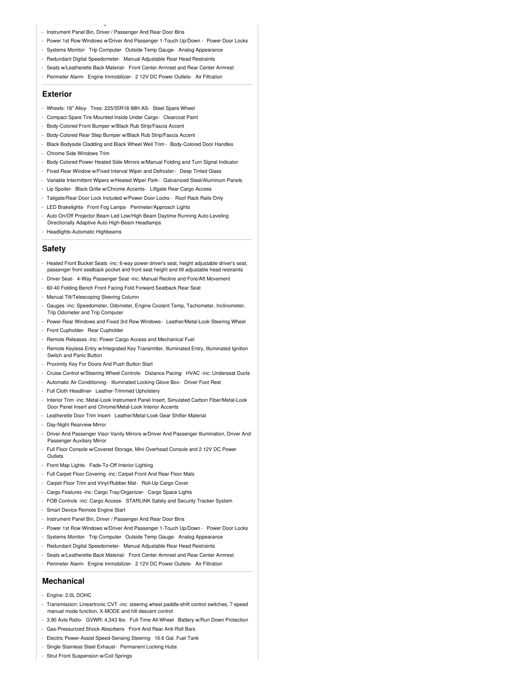- Instrument Panel Bin, Driver / Passenger And Rear Door Bins

- Smart Device Remote Engine Start

- Power 1st Row Windows w/Driver And Passenger 1-Touch Up/Down Power Door Locks
- Systems Monitor- Trip Computer- Outside Temp Gauge- Analog Appearance
- Redundant Digital Speedometer- Manual Adjustable Rear Head Restraints
- Seats w/Leatherette Back Material- Front Center Armrest and Rear Center Armrest
- Perimeter Alarm- Engine Immobilizer- 2 12V DC Power Outlets- Air Filtration

### **Exterior**

- Wheels: 18" Alloy- Tires: 225/55R18 98H AS- Steel Spare Wheel
- Compact Spare Tire Mounted Inside Under Cargo- Clearcoat Paint
- Body-Colored Front Bumper w/Black Rub Strip/Fascia Accent
- Body-Colored Rear Step Bumper w/Black Rub Strip/Fascia Accent
- Black Bodyside Cladding and Black Wheel Well Trim Body-Colored Door Handles
- Chrome Side Windows Trim
- Body-Colored Power Heated Side Mirrors w/Manual Folding and Turn Signal Indicator
- Fixed Rear Window w/Fixed Interval Wiper and Defroster- Deep Tinted Glass
- Variable Intermittent Wipers w/Heated Wiper Park- Galvanized Steel/Aluminum Panels
- Lip Spoiler- Black Grille w/Chrome Accents- Liftgate Rear Cargo Access
- Tailgate/Rear Door Lock Included w/Power Door Locks Roof Rack Rails Only
- LED Brakelights- Front Fog Lamps- Perimeter/Approach Lights
- Auto On/Off Projector Beam Led Low/High Beam Daytime Running Auto-Leveling Directionally Adaptive Auto High-Beam Headlamps
- Headlights-Automatic Highbeams

### **Safety**

- Heated Front Bucket Seats -inc: 6-way power driver's seat, height adjustable driver's seat, passenger front seatback pocket and front seat height and tilt adjustable head restraints
- Driver Seat- 4-Way Passenger Seat -inc: Manual Recline and Fore/Aft Movement
- 60-40 Folding Bench Front Facing Fold Forward Seatback Rear Seat
- Manual Tilt/Telescoping Steering Column
- Gauges -inc: Speedometer, Odometer, Engine Coolant Temp, Tachometer, Inclinometer, Trip Odometer and Trip Computer
- Power Rear Windows and Fixed 3rd Row Windows- Leather/Metal-Look Steering Wheel
- Front Cupholder- Rear Cupholder
- Remote Releases -Inc: Power Cargo Access and Mechanical Fuel
- Remote Keyless Entry w/Integrated Key Transmitter, Illuminated Entry, Illuminated Ignition Switch and Panic Button
- Proximity Key For Doors And Push Button Start
- Cruise Control w/Steering Wheel Controls- Distance Pacing- HVAC -inc: Underseat Ducts
- Automatic Air Conditioning- Illuminated Locking Glove Box- Driver Foot Rest
- Full Cloth Headliner- Leather-Trimmed Upholstery
- Interior Trim -inc: Metal-Look Instrument Panel Insert, Simulated Carbon Fiber/Metal-Look Door Panel Insert and Chrome/Metal-Look Interior Accents
- Leatherette Door Trim Insert- Leather/Metal-Look Gear Shifter Material
- Day-Night Rearview Mirror
- Driver And Passenger Visor Vanity Mirrors w/Driver And Passenger Illumination, Driver And Passenger Auxiliary Mirror
- Full Floor Console w/Covered Storage, Mini Overhead Console and 2 12V DC Power Outlets
- Front Map Lights- Fade-To-Off Interior Lighting
- Full Carpet Floor Covering -inc: Carpet Front And Rear Floor Mats
- Carpet Floor Trim and Vinyl/Rubber Mat- Roll-Up Cargo Cover
- Cargo Features -inc: Cargo Tray/Organizer- Cargo Space Lights
- FOB Controls -inc: Cargo Access- STARLINK Safety and Security Tracker System
- Smart Device Remote Engine Start
- Instrument Panel Bin, Driver / Passenger And Rear Door Bins
- Power 1st Row Windows w/Driver And Passenger 1-Touch Up/Down Power Door Locks
- Systems Monitor- Trip Computer- Outside Temp Gauge- Analog Appearance
- Redundant Digital Speedometer- Manual Adjustable Rear Head Restraints
- Seats w/Leatherette Back Material- Front Center Armrest and Rear Center Armrest
- Perimeter Alarm- Engine Immobilizer- 2 12V DC Power Outlets- Air Filtration

#### **Mechanical**

- Engine: 2.0L DOHC
- Transmission: Lineartronic CVT -inc: steering wheel paddle-shift control switches, 7-speed manual mode function, X-MODE and hill descent control
- 3.90 Axle Ratio- GVWR: 4,343 lbs- Full-Time All-Wheel- Battery w/Run Down Protection
- Gas-Pressurized Shock Absorbers- Front And Rear Anti-Roll Bars
- Electric Power-Assist Speed-Sensing Steering- 16.6 Gal. Fuel Tank
- Single Stainless Steel Exhaust- Permanent Locking Hubs
- Strut Front Suspension w/Coil Springs